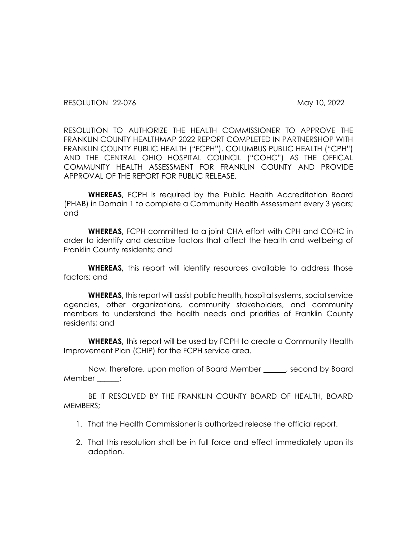RESOLUTION 22-076 May 10, 2022

RESOLUTION TO AUTHORIZE THE HEALTH COMMISSIONER TO APPROVE THE FRANKLIN COUNTY HEALTHMAP 2022 REPORT COMPLETED IN PARTNERSHOP WITH FRANKLIN COUNTY PUBLIC HEALTH ("FCPH"), COLUMBUS PUBLIC HEALTH ("CPH") AND THE CENTRAL OHIO HOSPITAL COUNCIL ("COHC") AS THE OFFICAL COMMUNITY HEALTH ASSESSMENT FOR FRANKLIN COUNTY AND PROVIDE APPROVAL OF THE REPORT FOR PUBLIC RELEASE.

**WHEREAS,** FCPH is required by the Public Health Accreditation Board (PHAB) in Domain 1 to complete a Community Health Assessment every 3 years; and

**WHEREAS,** FCPH committed to a joint CHA effort with CPH and COHC in order to identify and describe factors that affect the health and wellbeing of Franklin County residents; and

**WHEREAS,** this report will identify resources available to address those factors; and

**WHEREAS,** this report will assist public health, hospital systems, social service agencies, other organizations, community stakeholders, and community members to understand the health needs and priorities of Franklin County residents; and

**WHEREAS,** this report will be used by FCPH to create a Community Health Improvement Plan (CHIP) for the FCPH service area.

Now, therefore, upon motion of Board Member \_\_\_\_\_\_, second by Board Member ;

BE IT RESOLVED BY THE FRANKLIN COUNTY BOARD OF HEALTH, BOARD MEMBERS;

- 1. That the Health Commissioner is authorized release the official report.
- 2. That this resolution shall be in full force and effect immediately upon its adoption.